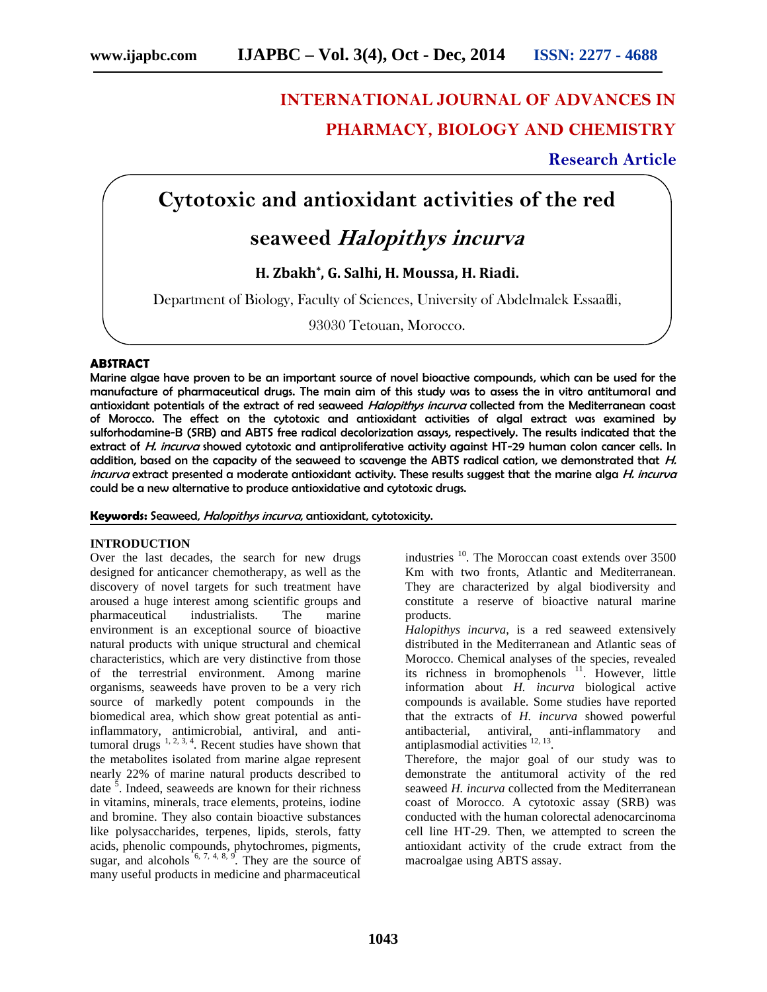# **INTERNATIONAL JOURNAL OF ADVANCES IN PHARMACY, BIOLOGY AND CHEMISTRY**

**Research Article**

### **Cytotoxic and antioxidant activities of the red**

## **seaweed** *Halopithys incurva*

**H. Zbakh\* , G. Salhi, H. Moussa, H. Riadi.**

Department of Biology, Faculty of Sciences, University of Abdelmalek Essaadi,

93030 Tetouan, Morocco.

#### **ABSTRACT**

Marine algae have proven to be an important source of novel bioactive compounds, which can be used for the manufacture of pharmaceutical drugs. The main aim of this study was to assess the in vitro antitumoral and antioxidant potentials of the extract of red seaweed *Halopithys incurva* collected from the Mediterranean coast of Morocco. The effect on the cytotoxic and antioxidant activities of algal extract was examined by sulforhodamine-B (SRB) and ABTS free radical decolorization assays, respectively. The results indicated that the extract of *H. incurva* showed cytotoxic and antiproliferative activity against HT-29 human colon cancer cells. In addition, based on the capacity of the seaweed to scavenge the ABTS radical cation, we demonstrated that *H. incurva* extract presented a moderate antioxidant activity. These results suggest that the marine alga *H. incurva* could be a new alternative to produce antioxidative and cytotoxic drugs.

**Keywords:** Seaweed, *Halopithys incurva*, antioxidant, cytotoxicity.

#### **INTRODUCTION**

Over the last decades, the search for new drugs designed for anticancer chemotherapy, as well as the discovery of novel targets for such treatment have aroused a huge interest among scientific groups and pharmaceutical industrialists. The marine environment is an exceptional source of bioactive natural products with unique structural and chemical characteristics, which are very distinctive from those of the terrestrial environment. Among marine organisms, seaweeds have proven to be a very rich source of markedly potent compounds in the biomedical area, which show great potential as antiinflammatory, antimicrobial, antiviral, and antitumoral drugs  $1, 2, 3, 4$ . Recent studies have shown that the metabolites isolated from marine algae represent nearly 22% of marine natural products described to date <sup>5</sup>. Indeed, seaweeds are known for their richness in vitamins, minerals, trace elements, proteins, iodine and bromine. They also contain bioactive substances like polysaccharides, terpenes, lipids, sterols, fatty acids, phenolic compounds, phytochromes, pigments, sugar, and alcohols  $6, 7, 4, 8, 9$ . They are the source of many useful products in medicine and pharmaceutical

industries <sup>10</sup>. The Moroccan coast extends over 3500 Km with two fronts, Atlantic and Mediterranean. They are characterized by algal biodiversity and constitute a reserve of bioactive natural marine products.

*Halopithys incurva*, is a red seaweed extensively distributed in the Mediterranean and Atlantic seas of Morocco. Chemical analyses of the species, revealed its richness in bromophenols  $11$ . However, little information about *H. incurva* biological active compounds is available. Some studies have reported that the extracts of *H. incurva* showed powerful antibacterial, antiviral, anti-inflammatory and antiplasmodial activities  $12, 13$ .

Therefore, the major goal of our study was to demonstrate the antitumoral activity of the red seaweed *H. incurva* collected from the Mediterranean coast of Morocco. A cytotoxic assay (SRB) was conducted with the human colorectal adenocarcinoma cell line HT-29. Then, we attempted to screen the antioxidant activity of the crude extract from the macroalgae using ABTS assay.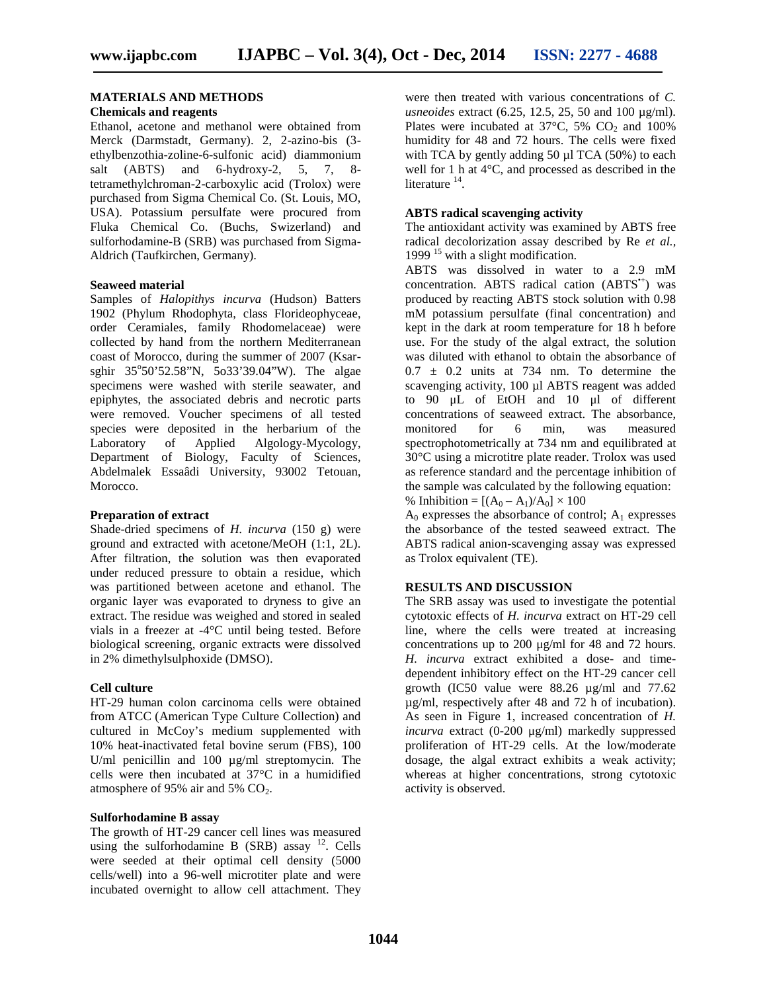#### **MATERIALS AND METHODS**

#### **Chemicals and reagents**

Ethanol, acetone and methanol were obtained from Merck (Darmstadt, Germany). 2, 2-azino-bis (3 ethylbenzothia-zoline-6-sulfonic acid) diammonium salt (ABTS) and 6-hydroxy-2, 5, 7, 8tetramethylchroman-2-carboxylic acid (Trolox) were purchased from Sigma Chemical Co. (St. Louis, MO, USA). Potassium persulfate were procured from Fluka Chemical Co. (Buchs, Swizerland) and sulforhodamine-B (SRB) was purchased from Sigma- Aldrich (Taufkirchen, Germany).

#### **Seaweed material**

Samples of *Halopithys incurva* (Hudson) Batters 1902 (Phylum Rhodophyta, class Florideophyceae, order Ceramiales, family Rhodomelaceae) were collected by hand from the northern Mediterranean coast of Morocco, during the summer of 2007 (Ksar sghir 35°50'52.58"N, 5o33'39.04"W). The algae specimens were washed with sterile seawater, and epiphytes, the associated debris and necrotic parts were removed. Voucher specimens of all tested species were deposited in the herbarium of the Laboratory of Applied Algology-Mycology, Department of Biology, Faculty of Sciences, Abdelmalek Essaâdi University, 93002 Tetouan, Morocco.

#### **Preparation of extract**

Shade-dried specimens of *H. incurva* (150 g) were ground and extracted with acetone/MeOH (1:1, 2L). After filtration, the solution was then evaporated under reduced pressure to obtain a residue, which was partitioned between acetone and ethanol. The organic layer was evaporated to dryness to give an extract. The residue was weighed and stored in sealed vials in a freezer at -4°C until being tested. Before biological screening, organic extracts were dissolved in 2% dimethylsulphoxide (DMSO).

#### **Cell culture**

HT-29 human colon carcinoma cells were obtained from ATCC (American Type Culture Collection) and cultured in McCoy's medium supplemented with 10% heat-inactivated fetal bovine serum (FBS), 100 U/ml penicillin and 100  $\mu$ g/ml streptomycin. The cells were then incubated at 37°C in a humidified atmosphere of 95% air and 5%  $CO<sub>2</sub>$ .

#### **Sulforhodamine B assay**

The growth of HT-29 cancer cell lines was measured using the sulforhodamine B  $(SRB)$  assay  $^{12}$ . Cells were seeded at their optimal cell density (5000 cells/well) into a 96-well microtiter plate and were incubated overnight to allow cell attachment. They

were then treated with various concentrations of *C. usneoides* extract (6.25, 12.5, 25, 50 and 100 µg/ml). Plates were incubated at  $37^{\circ}$ C,  $5\%$  CO<sub>2</sub> and 100% humidity for 48 and 72 hours. The cells were fixed with TCA by gently adding 50 µl TCA (50%) to each well for 1 h at 4°C, and processed as described in the literature <sup>14</sup>.

#### **ABTS radical scavenging activity**

The antioxidant activity was examined by ABTS free radical decolorization assay described by Re *et al.,* 1999  $15$  with a slight modification.

ABTS was dissolved in water to a 2.9 mM concentration. ABTS radical cation  $(ABTS^*)$  was produced by reacting ABTS stock solution with 0.98 mM potassium persulfate (final concentration) and kept in the dark at room temperature for 18 h before use. For the study of the algal extract, the solution was diluted with ethanol to obtain the absorbance of  $0.7 \pm 0.2$  units at 734 nm. To determine the scavenging activity, 100 µl ABTS reagent was added to 90 μL of EtOH and 10 μl of different concentrations of seaweed extract. The absorbance, monitored for 6 min, was measured spectrophotometrically at 734 nm and equilibrated at 30°C using a microtitre plate reader. Trolox was used as reference standard and the percentage inhibition of the sample was calculated by the following equation: % Inhibition =  $[(A_0 - A_1)/A_0] \times 100$ 

 $A_0$  expresses the absorbance of control;  $A_1$  expresses the absorbance of the tested seaweed extract. The ABTS radical anion-scavenging assay was expressed as Trolox equivalent (TE).

#### **RESULTS AND DISCUSSION**

The SRB assay was used to investigate the potential cytotoxic effects of *H. incurva* extract on HT-29 cell line, where the cells were treated at increasing concentrations up to 200 μg/ml for 48 and 72 hours. *H. incurva* extract exhibited a dose- and time dependent inhibitory effect on the HT-29 cancer cell growth (IC50 value were 88.26 µg/ml and 77.62 µg/ml, respectively after 48 and 72 h of incubation). As seen in Figure 1, increased concentration of *H. incurva* extract (0-200 μg/ml) markedly suppressed proliferation of HT-29 cells. At the low/moderate dosage, the algal extract exhibits a weak activity; whereas at higher concentrations, strong cytotoxic activity is observed.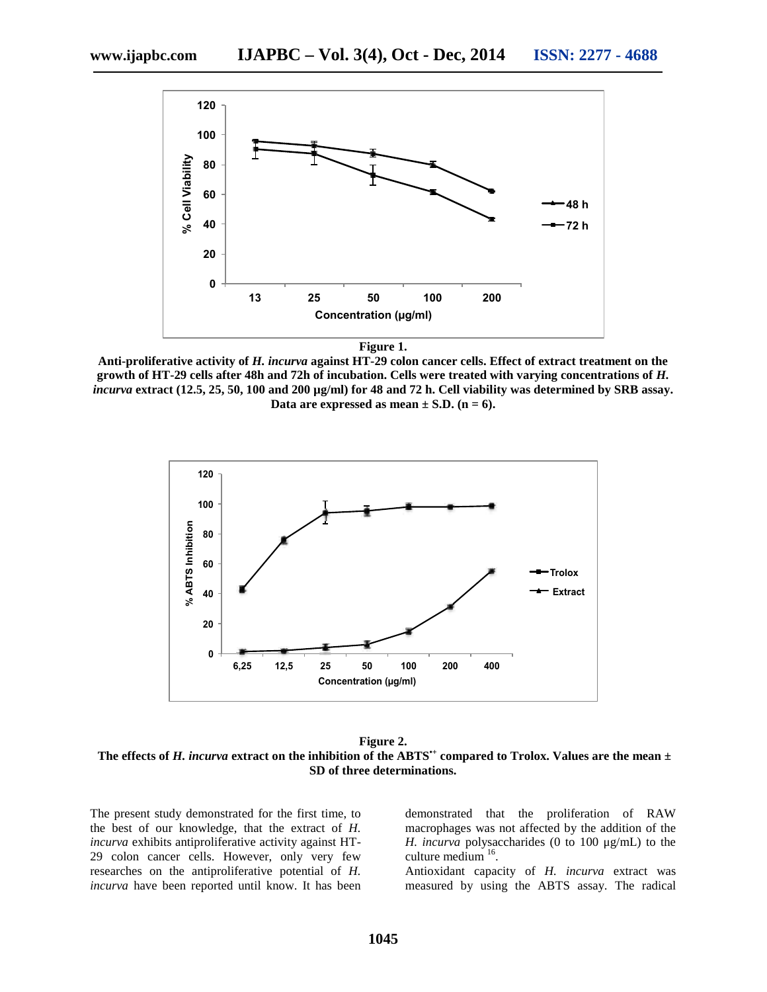

**Anti-proliferative activity of** *H. incurva* **against HT-29 colon cancer cells. Effect of extract treatment on the growth of HT-29 cells after 48h and 72h of incubation. Cells were treated with varying concentrations of** *H. incurva* **extract (12.5, 25, 50, 100 and 200 µg/ml) for 48 and 72 h. Cell viability was determined by SRB assay.** Data are expressed as mean  $\pm$  S.D. (n = 6).



**Figure 2.** The effects of *H. incurva* extract on the inhibition of the ABTS<sup> $+$ </sup> compared to Trolox. Values are the mean  $\pm$ **SD of three determinations.**

The present study demonstrated for the first time, to the best of our knowledge, that the extract of *H. incurva* exhibits antiproliferative activity against HT- 29 colon cancer cells. However, only very few researches on the antiproliferative potential of *H. incurva* have been reported until know. It has been demonstrated that the proliferation of RAW macrophages was not affected by the addition of the *H. incurva* polysaccharides (0 to 100 μg/mL) to the culture medium  $16$ . .

Antioxidant capacity of *H. incurva* extract was measured by using the ABTS assay. The radical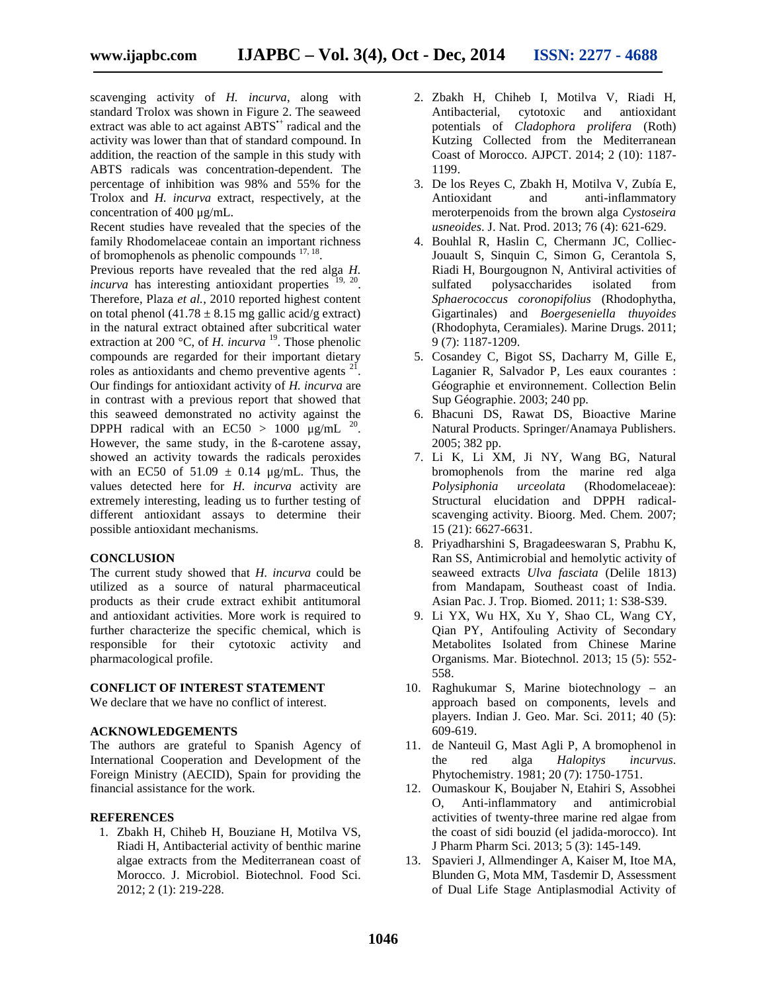scavenging activity of *H. incurva*, along with standard Trolox was shown in Figure 2. The seaweed extract was able to act against ABTS<sup>\*+</sup> radical and the activity was lower than that of standard compound. In addition, the reaction of the sample in this study with ABTS radicals was concentration-dependent. The percentage of inhibition was 98% and 55% for the Trolox and *H. incurva* extract, respectively, at the concentration of 400 μg/mL.

Recent studies have revealed that the species of the family Rhodomelaceae contain an important richness of bromophenols as phenolic compounds  $17, 18$ . .

Previous reports have revealed that the red alga *H. incurva* has interesting antioxidant properties <sup>19, 20</sup>. Therefore, Plaza *et al.*, 2010 reported highest content on total phenol (41.78  $\pm$  8.15 mg gallic acid/g extract) in the natural extract obtained after subcritical water extraction at 200 °C, of *H. incurva* <sup>19</sup>. Those phenolic compounds are regarded for their important dietary roles as antioxidants and chemo preventive agents  $2i$ . Our findings for antioxidant activity of *H. incurva* are in contrast with a previous report that showed that this seaweed demonstrated no activity against the DPPH radical with an EC50 > 1000  $\mu$ g/mL <sup>20</sup>. However, the same study, in the ß-carotene assay, showed an activity towards the radicals peroxides with an EC50 of  $51.09 \pm 0.14$  µg/mL. Thus, the values detected here for *H. incurva* activity are extremely interesting, leading us to further testing of different antioxidant assays to determine their possible antioxidant mechanisms.

#### **CONCLUSION**

The current study showed that *H. incurva* could be utilized as a source of natural pharmaceutical products as their crude extract exhibit antitumoral and antioxidant activities. More work is required to further characterize the specific chemical, which is responsible for their cytotoxic activity and pharmacological profile.

#### **CONFLICT OF INTEREST STATEMENT**

We declare that we have no conflict of interest.

#### **ACKNOWLEDGEMENTS**

The authors are grateful to Spanish Agency of International Cooperation and Development of the Foreign Ministry (AECID), Spain for providing the financial assistance for the work.

#### **REFERENCES**

1. Zbakh H, Chiheb H, Bouziane H, Motilva VS, Riadi H, Antibacterial activity of benthic marine algae extracts from the Mediterranean coast of Morocco. J. Microbiol. Biotechnol. Food Sci. 2012; 2 (1): 219-228.

- 2. Zbakh H, Chiheb I, Motilva V, Riadi H, Antibacterial, cytotoxic and antioxidant potentials of *Cladophora prolifera* (Roth) Kutzing Collected from the Mediterranean Coast of Morocco. AJPCT. 2014; 2 (10): 1187- 1199.
- 3. De los Reyes C, Zbakh H, Motilva V, Zubía E, Antioxidant and anti-inflammatory meroterpenoids from the brown alga *Cystoseira usneoides*. J. Nat. Prod. 2013; 76 (4): 621-629.
- 4. Bouhlal R, Haslin C, Chermann JC, Colliec-Jouault S, Sinquin C, Simon G, Cerantola S, Riadi H, Bourgougnon N, Antiviral activities of sulfated polysaccharides isolated from *Sphaerococcus coronopifolius* (Rhodophytha, Gigartinales) and *Boergeseniella thuyoides* (Rhodophyta, Ceramiales). Marine Drugs. 2011; 9 (7): 1187-1209.
- 5. Cosandey C, Bigot SS, Dacharry M, Gille E, Laganier R, Salvador P, Les eaux courantes : Géographie et environnement. Collection Belin Sup Géographie. 2003; 240 pp.
- 6. Bhacuni DS, Rawat DS, Bioactive Marine Natural Products. Springer/Anamaya Publishers. 2005; 382 pp.
- 7. Li K, Li XM, Ji NY, Wang BG, Natural bromophenols from the marine red alga *Polysiphonia urceolata* (Rhodomelaceae): Structural elucidation and DPPH radical scavenging activity. Bioorg. Med. Chem. 2007; 15 (21): 6627-6631.
- 8. Priyadharshini S, Bragadeeswaran S, Prabhu K, Ran SS, Antimicrobial and hemolytic activity of seaweed extracts *Ulva fasciata* (Delile 1813) from Mandapam, Southeast coast of India. Asian Pac. J. Trop. Biomed. 2011; 1: S38-S39.
- 9. Li YX, Wu HX, Xu Y, Shao CL, Wang CY, Qian PY, Antifouling Activity of Secondary Metabolites Isolated from Chinese Marine Organisms. Mar. Biotechnol. 2013; 15 (5): 552- 558.
- 10. Raghukumar S, Marine biotechnology an approach based on components, levels and players. Indian J. Geo. Mar. Sci. 2011; 40 (5): 609-619.
- 11. de Nanteuil G, Mast Agli P, A bromophenol in the red alga *Halopitys incurvus*. Phytochemistry. 1981; 20 (7):1750-1751.
- 12. Oumaskour K, Boujaber N, Etahiri S, Assobhei O, Anti-inflammatory and antimicrobial activities of twenty-three marine red algae from the coast of sidi bouzid (el jadida-morocco). Int J Pharm Pharm Sci. 2013; 5 (3): 145-149.
- 13. Spavieri J, Allmendinger A, Kaiser M, Itoe MA, Blunden G, Mota MM, Tasdemir D, Assessment of Dual Life Stage Antiplasmodial Activity of